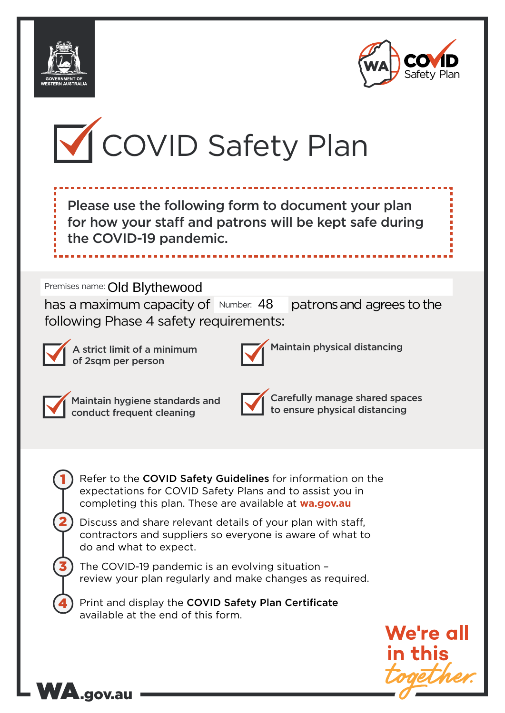





Please use the following form to document your plan for how your staff and patrons will be kept safe during the COVID-19 pandemic.

# Premises name: Old Blythewood

has a maximum capacity of  $Number: 48$  patrons and agrees to the following Phase 4 safety requirements:



A strict limit of a minimum of 2sqm per person



Maintain physical distancing



1

2

3

4

Maintain hygiene standards and conduct frequent cleaning

WA.gov.au



Carefully manage shared spaces to ensure physical distancing

Refer to the COVID Safety Guidelines for information on the expectations for COVID Safety Plans and to assist you in completing this plan. These are available at **wa.gov.au**

Discuss and share relevant details of your plan with staff, contractors and suppliers so everyone is aware of what to do and what to expect.

The COVID-19 pandemic is an evolving situation – review your plan regularly and make changes as required.

Print and display the COVID Safety Plan Certificate available at the end of this form.

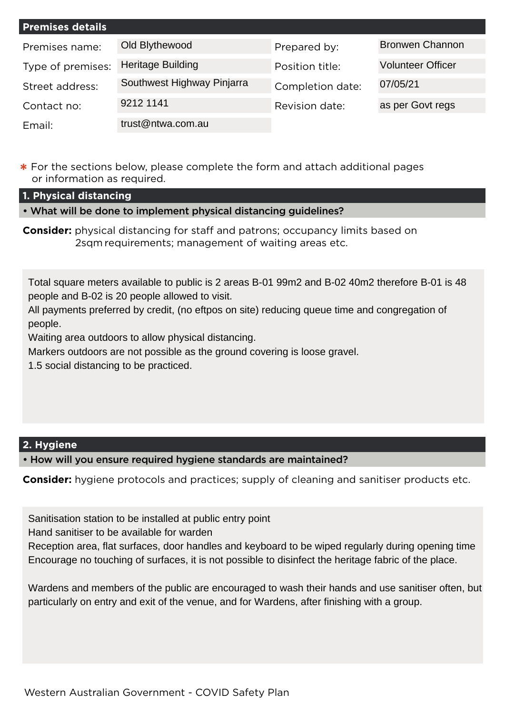| <b>Premises details</b> |                            |                  |                          |
|-------------------------|----------------------------|------------------|--------------------------|
| Premises name:          | Old Blythewood             | Prepared by:     | <b>Bronwen Channon</b>   |
| Type of premises:       | <b>Heritage Building</b>   | Position title:  | <b>Volunteer Officer</b> |
| Street address:         | Southwest Highway Pinjarra | Completion date: | 07/05/21                 |
| Contact no:             | 9212 1141                  | Revision date:   | as per Govt regs         |
| Email:                  | trust@ntwa.com.au          |                  |                          |

**\*** For the sections below, please complete the form and attach additional pages or information as required.

**1. Physical distancing**

• What will be done to implement physical distancing guidelines?

**Consider:** physical distancing for staff and patrons; occupancy limits based on 2sqm requirements; management of waiting areas etc.

Total square meters available to public is 2 areas B-01 99m2 and B-02 40m2 therefore B-01 is 48 people and B-02 is 20 people allowed to visit.

All payments preferred by credit, (no eftpos on site) reducing queue time and congregation of people.

Waiting area outdoors to allow physical distancing.

Markers outdoors are not possible as the ground covering is loose gravel.

1.5 social distancing to be practiced.

## **2. Hygiene**

• How will you ensure required hygiene standards are maintained?

**Consider:** hygiene protocols and practices; supply of cleaning and sanitiser products etc.

Sanitisation station to be installed at public entry point

Hand sanitiser to be available for warden

Reception area, flat surfaces, door handles and keyboard to be wiped regularly during opening time Encourage no touching of surfaces, it is not possible to disinfect the heritage fabric of the place.

Wardens and members of the public are encouraged to wash their hands and use sanitiser often, but particularly on entry and exit of the venue, and for Wardens, after finishing with a group.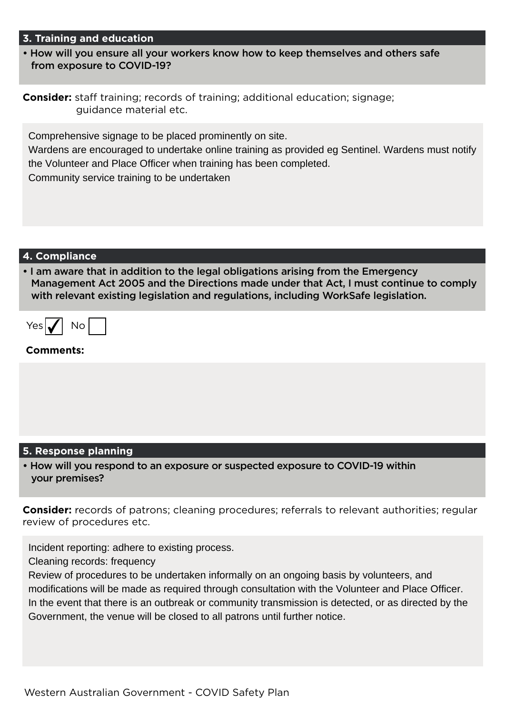#### **3. Training and education**

• How will you ensure all your workers know how to keep themselves and others safe from exposure to COVID-19?

|                        | <b>Consider:</b> staff training; records of training; additional education; signage; |
|------------------------|--------------------------------------------------------------------------------------|
| guidance material etc. |                                                                                      |

Comprehensive signage to be placed prominently on site.

Wardens are encouraged to undertake online training as provided eg Sentinel. Wardens must notify the Volunteer and Place Officer when training has been completed.

Community service training to be undertaken

#### **4. Compliance**

• I am aware that in addition to the legal obligations arising from the Emergency Management Act 2005 and the Directions made under that Act, I must continue to comply with relevant existing legislation and regulations, including WorkSafe legislation.

| 7≙7 | חו |  |
|-----|----|--|
|-----|----|--|

#### **Comments:**

### **5. Response planning**

• How will you respond to an exposure or suspected exposure to COVID-19 within your premises?

**Consider:** records of patrons; cleaning procedures; referrals to relevant authorities; regular review of procedures etc.

Incident reporting: adhere to existing process.

Cleaning records: frequency

Review of procedures to be undertaken informally on an ongoing basis by volunteers, and modifications will be made as required through consultation with the Volunteer and Place Officer. In the event that there is an outbreak or community transmission is detected, or as directed by the Government, the venue will be closed to all patrons until further notice.